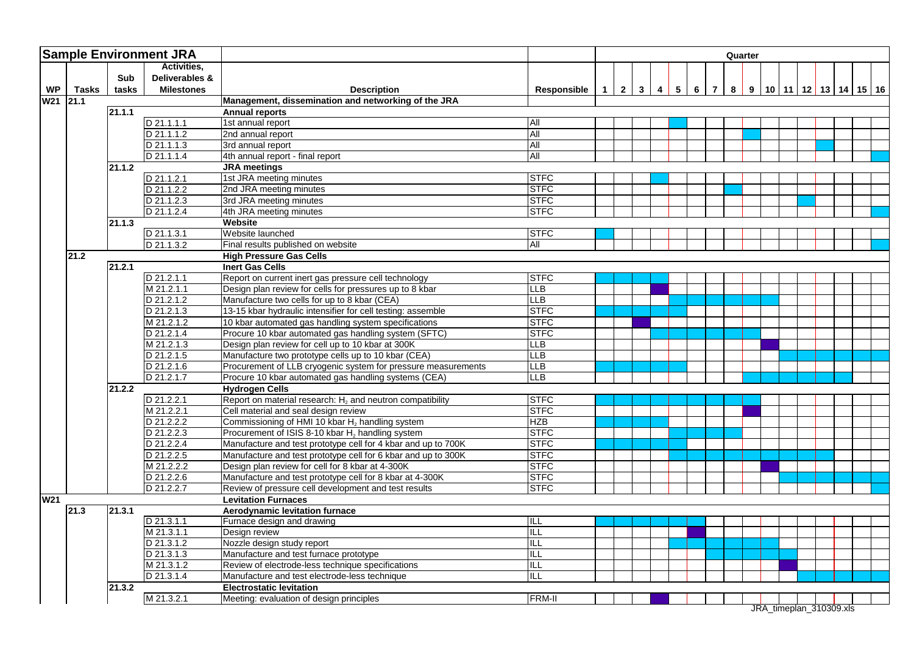| <b>Sample Environment JRA</b> |       |                     |                          |                                                                             |                    | Quarter |                |              |                         |                |                 |                |                |   |  |  |                                  |  |
|-------------------------------|-------|---------------------|--------------------------|-----------------------------------------------------------------------------|--------------------|---------|----------------|--------------|-------------------------|----------------|-----------------|----------------|----------------|---|--|--|----------------------------------|--|
|                               |       |                     | Activities,              |                                                                             |                    |         |                |              |                         |                |                 |                |                |   |  |  |                                  |  |
|                               |       | Sub                 | Deliverables &           |                                                                             |                    |         |                |              |                         |                |                 |                |                |   |  |  |                                  |  |
| <b>WP</b>                     | Tasks | tasks               | <b>Milestones</b>        | <b>Description</b>                                                          | <b>Responsible</b> | 1       | $\overline{2}$ | $\mathbf{3}$ | $\overline{\mathbf{4}}$ | 5 <sup>1</sup> | $6\phantom{.}6$ | $\overline{7}$ | 8 <sup>1</sup> | 9 |  |  | 10   11   12   13   14   15   16 |  |
| W21 21.1                      |       |                     |                          | Management, dissemination and networking of the JRA                         |                    |         |                |              |                         |                |                 |                |                |   |  |  |                                  |  |
|                               |       | 21.1.1              |                          | <b>Annual reports</b>                                                       |                    |         |                |              |                         |                |                 |                |                |   |  |  |                                  |  |
|                               |       |                     | D 21.1.1.1               | 1st annual report                                                           | All                |         |                |              |                         |                |                 |                |                |   |  |  |                                  |  |
|                               |       |                     | D 21.1.1.2               | 2nd annual report                                                           | All                |         |                |              |                         |                |                 |                |                |   |  |  |                                  |  |
|                               |       |                     | $D$ 21.1.1.3             | 3rd annual report                                                           | All                |         |                |              |                         |                |                 |                |                |   |  |  |                                  |  |
|                               |       |                     | D 21.1.1.4               | 4th annual report - final report                                            | All                |         |                |              |                         |                |                 |                |                |   |  |  |                                  |  |
|                               |       | $\overline{2}1.1.2$ |                          | <b>JRA</b> meetings                                                         |                    |         |                |              |                         |                |                 |                |                |   |  |  |                                  |  |
|                               |       |                     | $D$ 21.1.2.1             | 1st JRA meeting minutes                                                     | <b>STFC</b>        |         |                |              |                         |                |                 |                |                |   |  |  |                                  |  |
|                               |       |                     | D 21.1.2.2               | 2nd JRA meeting minutes                                                     | <b>STFC</b>        |         |                |              |                         |                |                 |                |                |   |  |  |                                  |  |
|                               |       |                     | D 21.1.2.3               | 3rd JRA meeting minutes                                                     | <b>STFC</b>        |         |                |              |                         |                |                 |                |                |   |  |  |                                  |  |
|                               |       |                     | D 21.1.2.4               | 4th JRA meeting minutes                                                     | <b>STFC</b>        |         |                |              |                         |                |                 |                |                |   |  |  |                                  |  |
|                               |       | 21.1.3              |                          | <b>Website</b>                                                              |                    |         |                |              |                         |                |                 |                |                |   |  |  |                                  |  |
|                               |       |                     | D 21.1.3.1               | Website launched                                                            | <b>STFC</b>        |         |                |              |                         |                |                 |                |                |   |  |  |                                  |  |
|                               |       |                     | D 21.1.3.2               | Final results published on website                                          | All                |         |                |              |                         |                |                 |                |                |   |  |  |                                  |  |
|                               | 21.2  |                     |                          | <b>High Pressure Gas Cells</b>                                              |                    |         |                |              |                         |                |                 |                |                |   |  |  |                                  |  |
|                               |       | 21.2.1              |                          | <b>Inert Gas Cells</b>                                                      |                    |         |                |              |                         |                |                 |                |                |   |  |  |                                  |  |
|                               |       |                     | D 21.2.1.1               | Report on current inert gas pressure cell technology                        | <b>STFC</b>        |         |                |              |                         |                |                 |                |                |   |  |  |                                  |  |
|                               |       |                     | M 21.2.1.1               | Design plan review for cells for pressures up to 8 kbar                     | <b>LLB</b>         |         |                |              |                         |                |                 |                |                |   |  |  |                                  |  |
|                               |       |                     | D 21.2.1.2               | Manufacture two cells for up to 8 kbar (CEA)                                | <b>LLB</b>         |         |                |              |                         |                |                 |                |                |   |  |  |                                  |  |
|                               |       |                     | D 21.2.1.3               | 13-15 kbar hydraulic intensifier for cell testing: assemble                 | <b>STFC</b>        |         |                |              |                         |                |                 |                |                |   |  |  |                                  |  |
|                               |       |                     | M 21.2.1.2               | 10 kbar automated gas handling system specifications                        | <b>STFC</b>        |         |                |              |                         |                |                 |                |                |   |  |  |                                  |  |
|                               |       |                     | D 21.2.1.4               | Procure 10 kbar automated gas handling system (SFTC)                        | <b>STFC</b>        |         |                |              |                         |                |                 |                |                |   |  |  |                                  |  |
|                               |       |                     | M 21.2.1.3               | Design plan review for cell up to 10 kbar at 300K                           | LLB                |         |                |              |                         |                |                 |                |                |   |  |  |                                  |  |
|                               |       |                     | D 21.2.1.5               | Manufacture two prototype cells up to 10 kbar (CEA)                         | <b>LLB</b>         |         |                |              |                         |                |                 |                |                |   |  |  |                                  |  |
|                               |       |                     | D 21.2.1.6               | Procurement of LLB cryogenic system for pressure measurements               | LLB                |         |                |              |                         |                |                 |                |                |   |  |  |                                  |  |
|                               |       |                     | $D$ 21.2.1.7             | Procure 10 kbar automated gas handling systems (CEA)                        | <b>LLB</b>         |         |                |              |                         |                |                 |                |                |   |  |  |                                  |  |
|                               |       | 21.2.2              |                          | <b>Hydrogen Cells</b>                                                       |                    |         |                |              |                         |                |                 |                |                |   |  |  |                                  |  |
|                               |       |                     | D 21.2.2.1               | Report on material research: $H_2$ and neutron compatibility                | <b>STFC</b>        |         |                |              |                         |                |                 |                |                |   |  |  |                                  |  |
|                               |       |                     | M 21.2.2.1               | Cell material and seal design review                                        | <b>STFC</b>        |         |                |              |                         |                |                 |                |                |   |  |  |                                  |  |
|                               |       |                     | D 21.2.2.2               | Commissioning of HMI 10 kbar H <sub>2</sub> handling system                 | <b>HZB</b>         |         |                |              |                         |                |                 |                |                |   |  |  |                                  |  |
|                               |       |                     | D 21.2.2.3               | Procurement of ISIS 8-10 kbar H <sub>2</sub> handling system                | <b>STFC</b>        |         |                |              |                         |                |                 |                |                |   |  |  |                                  |  |
|                               |       |                     | D 21.2.2.4               | Manufacture and test prototype cell for 4 kbar and up to 700K               | <b>STFC</b>        |         |                |              |                         |                |                 |                |                |   |  |  |                                  |  |
|                               |       |                     | D 21.2.2.5               | Manufacture and test prototype cell for 6 kbar and up to 300K               | <b>STFC</b>        |         |                |              |                         |                |                 |                |                |   |  |  |                                  |  |
|                               |       |                     | M 21.2.2.2               | Design plan review for cell for 8 kbar at 4-300K                            | <b>STFC</b>        |         |                |              |                         |                |                 |                |                |   |  |  |                                  |  |
|                               |       |                     | D 21.2.2.6               | Manufacture and test prototype cell for 8 kbar at 4-300K                    | <b>STFC</b>        |         |                |              |                         |                |                 |                |                |   |  |  |                                  |  |
|                               |       |                     | D 21.2.2.7               | Review of pressure cell development and test results                        | <b>STFC</b>        |         |                |              |                         |                |                 |                |                |   |  |  |                                  |  |
| <b>W21</b>                    |       |                     |                          | <b>Levitation Furnaces</b>                                                  |                    |         |                |              |                         |                |                 |                |                |   |  |  |                                  |  |
|                               | 21.3  | 21.3.1              | $D$ 21.3.1.1             | <b>Aerodynamic levitation furnace</b>                                       |                    |         |                |              |                         |                |                 |                |                |   |  |  |                                  |  |
|                               |       |                     |                          | Furnace design and drawing                                                  | ╟╙┖<br>ILL         |         |                |              |                         |                |                 |                |                |   |  |  |                                  |  |
|                               |       |                     | M 21.3.1.1<br>D 21.3.1.2 | Design review                                                               | ILL                |         |                |              |                         |                |                 |                |                |   |  |  |                                  |  |
|                               |       |                     |                          | Nozzle design study report                                                  | ILL                |         |                |              |                         |                |                 |                |                |   |  |  |                                  |  |
|                               |       |                     | D 21.3.1.3               | Manufacture and test furnace prototype                                      |                    |         |                |              |                         |                |                 |                |                |   |  |  |                                  |  |
|                               |       |                     | M 21.3.1.2<br>D 21.3.1.4 | Review of electrode-less technique specifications                           | ILL<br><b>ILL</b>  |         |                |              |                         |                |                 |                |                |   |  |  |                                  |  |
|                               |       |                     |                          | Manufacture and test electrode-less technique                               |                    |         |                |              |                         |                |                 |                |                |   |  |  |                                  |  |
|                               |       | 21.3.2              | M 21.3.2.1               | <b>Electrostatic levitation</b><br>Meeting: evaluation of design principles | <b>FRM-II</b>      |         |                |              |                         |                |                 |                |                |   |  |  |                                  |  |
|                               |       |                     |                          |                                                                             |                    |         |                |              |                         |                |                 |                |                |   |  |  | JRA_timeplan_310309.xls          |  |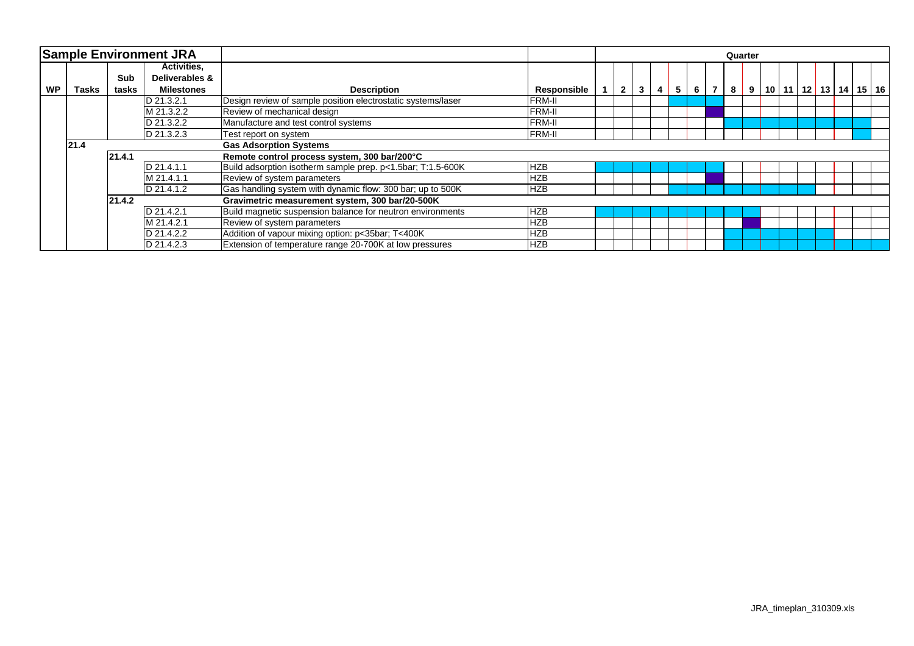|           |                                  |            | <b>Sample Environment JRA</b> |                                                              |                    | Quarter |              |                |   |                |   |                |   |  |  |  |  |  |                                      |
|-----------|----------------------------------|------------|-------------------------------|--------------------------------------------------------------|--------------------|---------|--------------|----------------|---|----------------|---|----------------|---|--|--|--|--|--|--------------------------------------|
|           |                                  |            | <b>Activities,</b>            |                                                              |                    |         |              |                |   |                |   |                |   |  |  |  |  |  |                                      |
|           |                                  | Sub        | Deliverables &                |                                                              |                    |         |              |                |   |                |   |                |   |  |  |  |  |  |                                      |
| <b>WP</b> | Tasks                            | tasks      | <b>Milestones</b>             | <b>Description</b>                                           | <b>Responsible</b> |         | $\mathbf{2}$ | 3 <sup>1</sup> | 4 | 5 <sub>1</sub> | 6 | $\overline{7}$ | 8 |  |  |  |  |  | 9   10   11   12   13   14   15   16 |
|           | D 21.3.2.1                       |            |                               | Design review of sample position electrostatic systems/laser | <b>FRM-II</b>      |         |              |                |   |                |   |                |   |  |  |  |  |  |                                      |
|           |                                  | M 21.3.2.2 |                               | Review of mechanical design                                  | <b>FRM-II</b>      |         |              |                |   |                |   |                |   |  |  |  |  |  |                                      |
|           | D 21.3.2.2<br>D 21.3.2.3<br>21.4 |            |                               | Manufacture and test control systems                         | <b>FRM-II</b>      |         |              |                |   |                |   |                |   |  |  |  |  |  |                                      |
|           |                                  |            |                               | Test report on system                                        | <b>FRM-II</b>      |         |              |                |   |                |   |                |   |  |  |  |  |  |                                      |
|           |                                  |            |                               | <b>Gas Adsorption Systems</b>                                |                    |         |              |                |   |                |   |                |   |  |  |  |  |  |                                      |
|           |                                  | 21.4.1     |                               | Remote control process system, 300 bar/200°C                 |                    |         |              |                |   |                |   |                |   |  |  |  |  |  |                                      |
|           |                                  | D 21.4.1.1 |                               | Build adsorption isotherm sample prep. p<1.5bar; T:1.5-600K  | <b>HZB</b>         |         |              |                |   |                |   |                |   |  |  |  |  |  |                                      |
|           |                                  |            | M 21.4.1.1                    | Review of system parameters                                  | <b>HZB</b>         |         |              |                |   |                |   |                |   |  |  |  |  |  |                                      |
|           |                                  |            | D 21.4.1.2                    | Gas handling system with dynamic flow: 300 bar; up to 500K   | <b>HZB</b>         |         |              |                |   |                |   |                |   |  |  |  |  |  |                                      |
|           | 21.4.2                           |            |                               | Gravimetric measurement system, 300 bar/20-500K              |                    |         |              |                |   |                |   |                |   |  |  |  |  |  |                                      |
|           |                                  |            | D 21.4.2.1                    | Build magnetic suspension balance for neutron environments   | <b>HZB</b>         |         |              |                |   |                |   |                |   |  |  |  |  |  |                                      |
|           |                                  |            | M 21.4.2.1                    | Review of system parameters                                  | <b>HZB</b>         |         |              |                |   |                |   |                |   |  |  |  |  |  |                                      |
|           |                                  |            | D 21.4.2.2                    | Addition of vapour mixing option: p<35bar; T<400K            | <b>HZB</b>         |         |              |                |   |                |   |                |   |  |  |  |  |  |                                      |
|           |                                  |            | D 21.4.2.3                    | Extension of temperature range 20-700K at low pressures      | <b>HZB</b>         |         |              |                |   |                |   |                |   |  |  |  |  |  |                                      |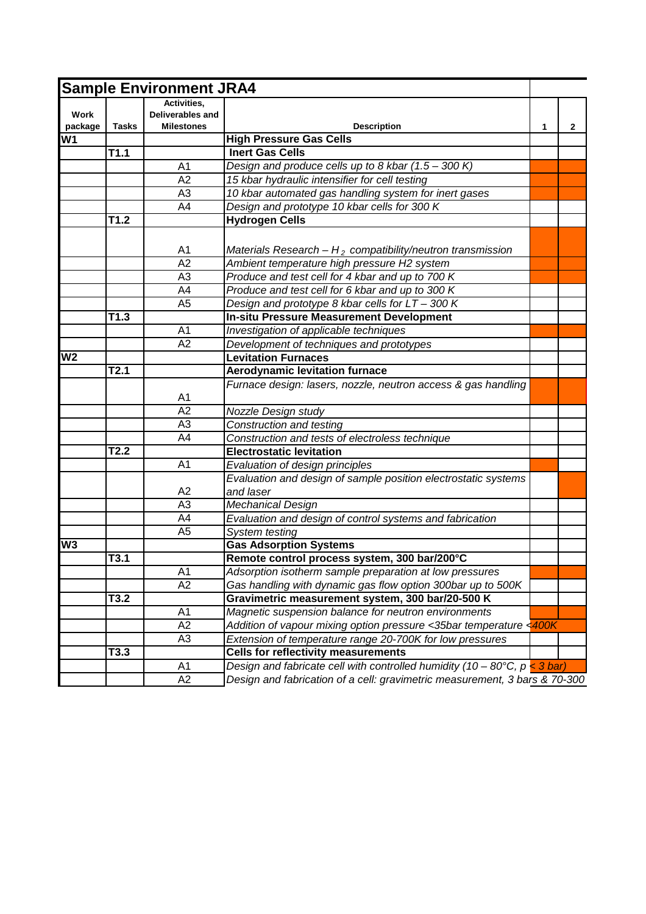| <b>Sample Environment JRA4</b> |              |                                                      |                                                                             |   |              |  |  |
|--------------------------------|--------------|------------------------------------------------------|-----------------------------------------------------------------------------|---|--------------|--|--|
| Work<br>package                | <b>Tasks</b> | Activities,<br>Deliverables and<br><b>Milestones</b> | <b>Description</b>                                                          | 1 | $\mathbf{2}$ |  |  |
| W <sub>1</sub>                 |              |                                                      | <b>High Pressure Gas Cells</b>                                              |   |              |  |  |
|                                | T1.1         |                                                      | <b>Inert Gas Cells</b>                                                      |   |              |  |  |
|                                |              | A1                                                   | Design and produce cells up to 8 kbar (1.5 - 300 K)                         |   |              |  |  |
|                                |              | $\overline{A2}$                                      | 15 kbar hydraulic intensifier for cell testing                              |   |              |  |  |
|                                |              | A <sub>3</sub>                                       | 10 kbar automated gas handling system for inert gases                       |   |              |  |  |
|                                |              | A4                                                   | Design and prototype 10 kbar cells for 300 K                                |   |              |  |  |
|                                | T1.2         |                                                      | <b>Hydrogen Cells</b>                                                       |   |              |  |  |
|                                |              |                                                      |                                                                             |   |              |  |  |
|                                |              | A1                                                   | Materials Research $-H_2$ compatibility/neutron transmission                |   |              |  |  |
|                                |              | $\overline{A2}$                                      | Ambient temperature high pressure H2 system                                 |   |              |  |  |
|                                |              | A <sub>3</sub>                                       | Produce and test cell for 4 kbar and up to 700 K                            |   |              |  |  |
|                                |              | $\overline{A4}$                                      | Produce and test cell for 6 kbar and up to 300 K                            |   |              |  |  |
|                                |              | A <sub>5</sub>                                       | Design and prototype 8 kbar cells for LT - 300 K                            |   |              |  |  |
|                                | T1.3         |                                                      | <b>In-situ Pressure Measurement Development</b>                             |   |              |  |  |
|                                |              | A <sub>1</sub>                                       | Investigation of applicable techniques                                      |   |              |  |  |
|                                |              | $\overline{A2}$                                      | Development of techniques and prototypes                                    |   |              |  |  |
| W <sub>2</sub>                 |              |                                                      | <b>Levitation Furnaces</b>                                                  |   |              |  |  |
|                                | T2.1         |                                                      | <b>Aerodynamic levitation furnace</b>                                       |   |              |  |  |
|                                |              | A1                                                   | Furnace design: lasers, nozzle, neutron access & gas handling               |   |              |  |  |
|                                |              | $\overline{A2}$                                      | Nozzle Design study                                                         |   |              |  |  |
|                                |              | A <sub>3</sub>                                       | Construction and testing                                                    |   |              |  |  |
|                                |              | A4                                                   | Construction and tests of electroless technique                             |   |              |  |  |
|                                | T2.2         |                                                      | <b>Electrostatic levitation</b>                                             |   |              |  |  |
|                                |              | A <sub>1</sub>                                       | Evaluation of design principles                                             |   |              |  |  |
|                                |              |                                                      | Evaluation and design of sample position electrostatic systems              |   |              |  |  |
|                                |              | A2                                                   | and laser                                                                   |   |              |  |  |
|                                |              | A3                                                   | <b>Mechanical Design</b>                                                    |   |              |  |  |
|                                |              | A4                                                   | Evaluation and design of control systems and fabrication                    |   |              |  |  |
|                                |              | A <sub>5</sub>                                       | System testing                                                              |   |              |  |  |
| W <sub>3</sub>                 |              |                                                      | <b>Gas Adsorption Systems</b>                                               |   |              |  |  |
|                                | T3.1         |                                                      | Remote control process system, 300 bar/200°C                                |   |              |  |  |
|                                |              | A <sub>1</sub>                                       | Adsorption isotherm sample preparation at low pressures                     |   |              |  |  |
|                                |              | A <sub>2</sub>                                       | Gas handling with dynamic gas flow option 300bar up to 500K                 |   |              |  |  |
|                                | T3.2         |                                                      | Gravimetric measurement system, 300 bar/20-500 K                            |   |              |  |  |
|                                |              | A1                                                   | Magnetic suspension balance for neutron environments                        |   |              |  |  |
|                                |              | A2                                                   | Addition of vapour mixing option pressure <35bar temperature <400K          |   |              |  |  |
|                                |              | A <sub>3</sub>                                       | Extension of temperature range 20-700K for low pressures                    |   |              |  |  |
|                                | T3.3         |                                                      | <b>Cells for reflectivity measurements</b>                                  |   |              |  |  |
|                                |              | A <sub>1</sub>                                       | Design and fabricate cell with controlled humidity (10 - 80°C, $p < 3$ bar) |   |              |  |  |
|                                |              | A2                                                   | Design and fabrication of a cell: gravimetric measurement, 3 bars & 70-300  |   |              |  |  |